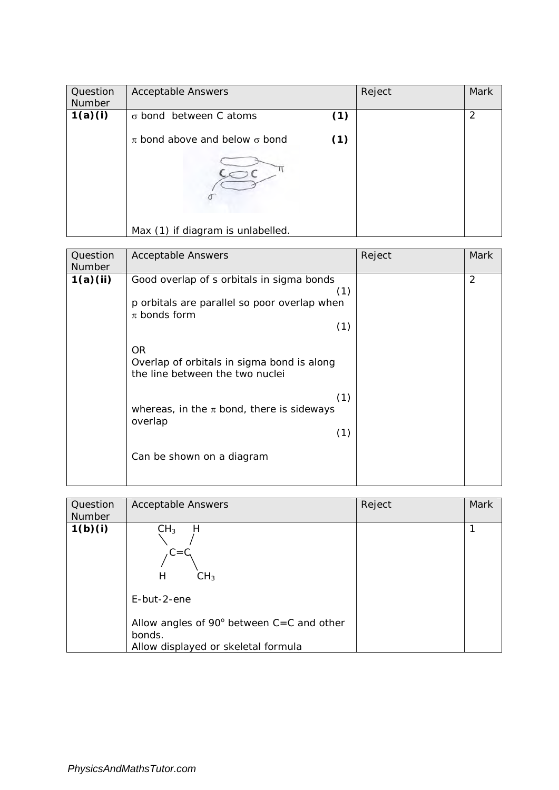| Question<br>Number | <b>Acceptable Answers</b>                |     | Reject | Mark |
|--------------------|------------------------------------------|-----|--------|------|
| 1(a)(i)            | $\sigma$ bond between C atoms            | (1) |        | 2    |
|                    | $\pi$ bond above and below $\sigma$ bond | (1) |        |      |
|                    | Max (1) if diagram is unlabelled.        |     |        |      |

| Question<br><b>Number</b> | <b>Acceptable Answers</b>                                                                                                   | Reject | Mark           |
|---------------------------|-----------------------------------------------------------------------------------------------------------------------------|--------|----------------|
| 1(a)(ii)                  | Good overlap of s orbitals in sigma bonds<br>(1)<br>p orbitals are parallel so poor overlap when<br>$\pi$ bonds form<br>(1) |        | $\overline{2}$ |
|                           | <b>OR</b><br>Overlap of orbitals in sigma bond is along<br>the line between the two nuclei                                  |        |                |
|                           | (1)<br>whereas, in the $\pi$ bond, there is sideways<br>overlap<br>(1)                                                      |        |                |
|                           | Can be shown on a diagram                                                                                                   |        |                |

| Question<br>Number | <b>Acceptable Answers</b>                                                                                                               | Reject | <b>Mark</b> |
|--------------------|-----------------------------------------------------------------------------------------------------------------------------------------|--------|-------------|
| 1(b)(i)            | CH <sub>3</sub><br>Н<br>$C = C$<br>CH <sub>3</sub><br>Н<br>$E$ -but-2-ene<br>Allow angles of $90^\circ$ between C=C and other<br>bonds. |        |             |
|                    | Allow displayed or skeletal formula                                                                                                     |        |             |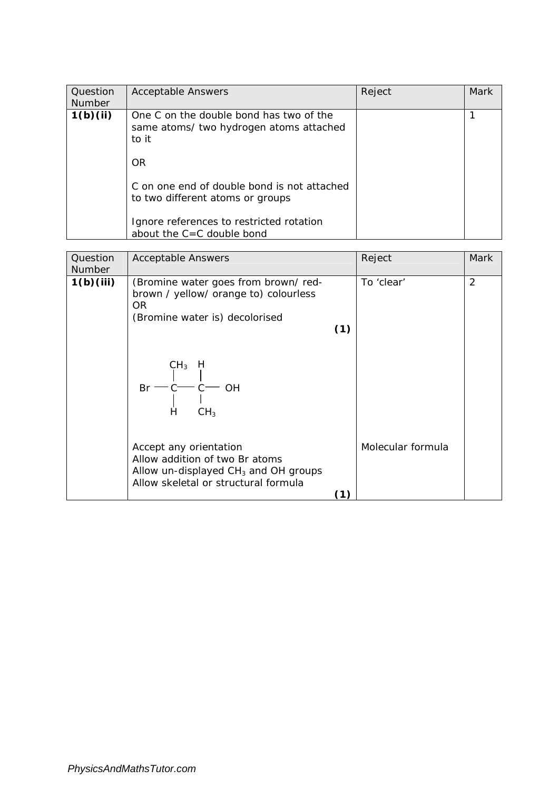| Question<br><b>Number</b> | <b>Acceptable Answers</b>                                                                   | Reject | <b>Mark</b> |
|---------------------------|---------------------------------------------------------------------------------------------|--------|-------------|
| 1(b)(ii)                  | One C on the double bond has two of the<br>same atoms/ two hydrogen atoms attached<br>to it |        |             |
|                           | <b>OR</b>                                                                                   |        |             |
|                           | C on one end of double bond is not attached<br>to two different atoms or groups             |        |             |
|                           | Ignore references to restricted rotation<br>about the $C = C$ double bond                   |        |             |

| Question<br><b>Number</b> | <b>Acceptable Answers</b>                                                                                                                                          |     | Reject            | Mark           |
|---------------------------|--------------------------------------------------------------------------------------------------------------------------------------------------------------------|-----|-------------------|----------------|
| 1(b)(iii)                 | (Bromine water goes from brown/red-<br>brown / yellow/ orange to) colourless<br>OR.<br>(Bromine water is) decolorised<br>CH <sub>3</sub><br>H<br>Br<br>OН          | (1) | To 'clear'        | $\overline{2}$ |
|                           | Н<br>CH <sub>3</sub><br>Accept any orientation<br>Allow addition of two Br atoms<br>Allow un-displayed $CH3$ and OH groups<br>Allow skeletal or structural formula |     | Molecular formula |                |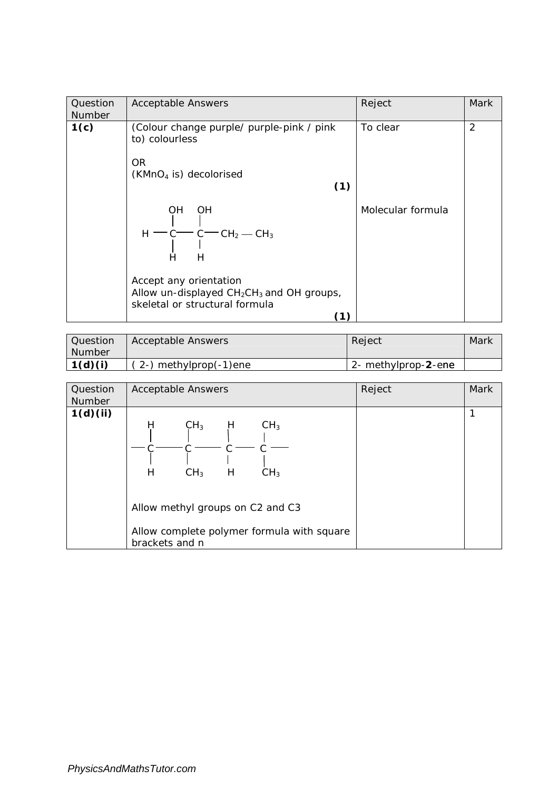| Question<br><b>Number</b> | <b>Acceptable Answers</b>                                                                                                                                                             | Reject            | Mark           |
|---------------------------|---------------------------------------------------------------------------------------------------------------------------------------------------------------------------------------|-------------------|----------------|
| 1(c)                      | (Colour change purple/ purple-pink / pink<br>to) colourless<br>OR.<br>$(KMnO4$ is) decolorised<br>(1)                                                                                 | To clear          | $\overline{2}$ |
|                           | OH<br><b>OH</b><br>$H - C - C - CH2 - CH3$<br>Н<br>н<br>Accept any orientation<br>Allow un-displayed CH <sub>2</sub> CH <sub>3</sub> and OH groups,<br>skeletal or structural formula | Molecular formula |                |
|                           | (1)                                                                                                                                                                                   |                   |                |

| Question<br><b>Number</b> | <b>Acceptable Answers</b> | Reject              | Mark |
|---------------------------|---------------------------|---------------------|------|
| 1(d)(i)                   | $(2-)$ methylprop(-1)ene  | 2- methylprop-2-ene |      |

| Question<br><b>Number</b> | <b>Acceptable Answers</b>                                                                                                                                                                        | Reject | <b>Mark</b> |
|---------------------------|--------------------------------------------------------------------------------------------------------------------------------------------------------------------------------------------------|--------|-------------|
| 1(d)(ii)                  | Н<br>CH <sub>3</sub><br>CH <sub>3</sub><br>H<br>Н<br>CH <sub>3</sub><br>H<br>CH <sub>3</sub><br>Allow methyl groups on C2 and C3<br>Allow complete polymer formula with square<br>brackets and n |        |             |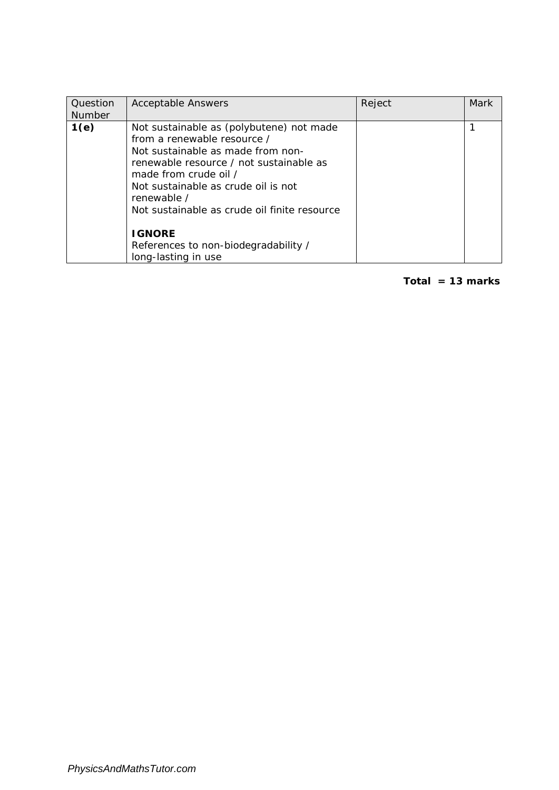| Question<br><b>Number</b> | <b>Acceptable Answers</b>                                                                                                                                                                                                                                                              | Reject | <b>Mark</b> |
|---------------------------|----------------------------------------------------------------------------------------------------------------------------------------------------------------------------------------------------------------------------------------------------------------------------------------|--------|-------------|
| 1(e)                      | Not sustainable as (polybutene) not made<br>from a renewable resource /<br>Not sustainable as made from non-<br>renewable resource / not sustainable as<br>made from crude oil /<br>Not sustainable as crude oil is not<br>renewable /<br>Not sustainable as crude oil finite resource |        |             |
|                           | <b>IGNORE</b><br>References to non-biodegradability /<br>long-lasting in use                                                                                                                                                                                                           |        |             |

**Total = 13 marks**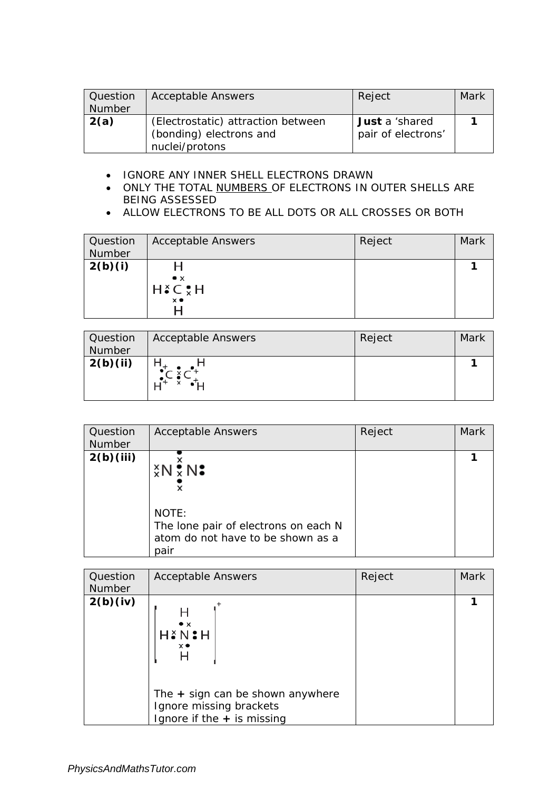| Question<br>Number | <b>Acceptable Answers</b>                                                       | Reject                                      | Mark |
|--------------------|---------------------------------------------------------------------------------|---------------------------------------------|------|
| 2(a)               | (Electrostatic) attraction between<br>(bonding) electrons and<br>nuclei/protons | <b>Just</b> a 'shared<br>pair of electrons' |      |

- IGNORE ANY INNER SHELL ELECTRONS DRAWN
- ONLY THE TOTAL NUMBERS OF ELECTRONS IN OUTER SHELLS ARE BEING ASSESSED
- ALLOW ELECTRONS TO BE ALL DOTS OR ALL CROSSES OR BOTH

| Question<br>Number | <b>Acceptable Answers</b>                        | Reject | Mark |
|--------------------|--------------------------------------------------|--------|------|
| 2(b)(i)            | $\bullet$ $\times$<br>$H \circ C \circ H$<br>x ● |        |      |

| <b>Question</b><br>Number | <b>Acceptable Answers</b> | Reject | Mark |
|---------------------------|---------------------------|--------|------|
| 2(b)(ii)                  |                           |        |      |

| Question<br>Number | <b>Acceptable Answers</b>                                                                                  | Reject | <b>Mark</b> |
|--------------------|------------------------------------------------------------------------------------------------------------|--------|-------------|
| 2(b)(iii)          | $X \times N$<br>NOTE:<br>The lone pair of electrons on each N<br>atom do not have to be shown as a<br>pair |        |             |

| Question<br>Number | <b>Acceptable Answers</b>                                                                                                                                   | Reject | <b>Mark</b> |
|--------------------|-------------------------------------------------------------------------------------------------------------------------------------------------------------|--------|-------------|
| 2(b)(iv)           | $\bullet x$<br>$H \succeq N$ : $H$<br>$\times$ $\bullet$<br>н<br>The $+$ sign can be shown anywhere<br>Ignore missing brackets<br>gnore if the + is missing |        |             |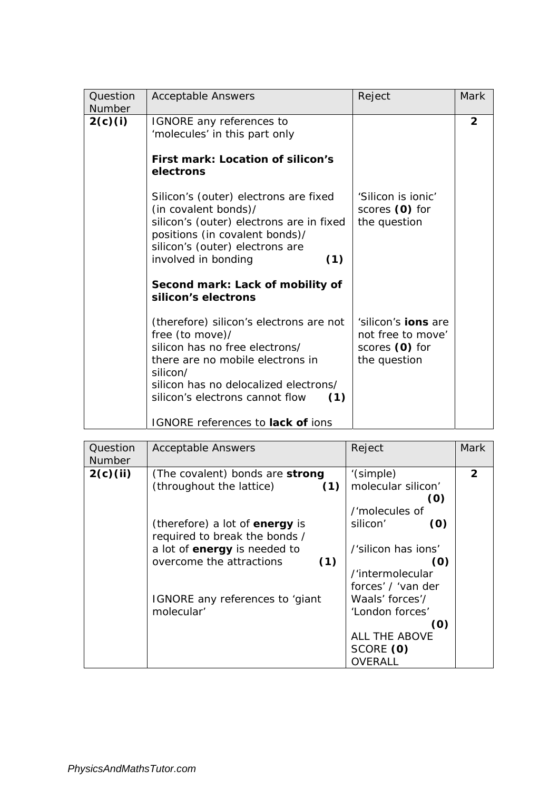| Question<br>Number | <b>Acceptable Answers</b>                                                                                                                                                                                                                                            | Reject                                                                            | Mark           |
|--------------------|----------------------------------------------------------------------------------------------------------------------------------------------------------------------------------------------------------------------------------------------------------------------|-----------------------------------------------------------------------------------|----------------|
| 2(c)(i)            | IGNORE any references to<br>'molecules' in this part only<br>First mark: Location of silicon's<br>electrons<br>Silicon's (outer) electrons are fixed<br>(in covalent bonds)/                                                                                         | 'Silicon is ionic'<br>scores (0) for                                              | $\overline{2}$ |
|                    | silicon's (outer) electrons are in fixed<br>positions (in covalent bonds)/<br>silicon's (outer) electrons are<br>(1)<br>involved in bonding<br>Second mark: Lack of mobility of<br>silicon's electrons                                                               | the question                                                                      |                |
|                    | (therefore) silicon's electrons are not<br>free (to move)/<br>silicon has no free electrons/<br>there are no mobile electrons in<br>silicon/<br>silicon has no delocalized electrons/<br>silicon's electrons cannot flow<br>(1)<br>IGNORE references to lack of ions | 'silicon's <b>ions</b> are<br>not free to move'<br>scores (0) for<br>the question |                |

| Question<br><b>Number</b> | <b>Acceptable Answers</b>             | Reject              | Mark         |
|---------------------------|---------------------------------------|---------------------|--------------|
| 2(c)(ii)                  | (The covalent) bonds are strong       | '(simple)           | $\mathbf{2}$ |
|                           | (throughout the lattice)<br>(1)       | molecular silicon'  |              |
|                           |                                       | (0)                 |              |
|                           |                                       | /'molecules of      |              |
|                           | (therefore) a lot of <b>energy</b> is | silicon'<br>(0)     |              |
|                           | required to break the bonds /         |                     |              |
|                           | a lot of energy is needed to          | /'silicon has ions' |              |
|                           | overcome the attractions<br>(1)       | (O)                 |              |
|                           |                                       | /'intermolecular    |              |
|                           |                                       | forces' / 'van der  |              |
|                           | IGNORE any references to 'giant       | Waals' forces'/     |              |
|                           | molecular'                            | 'London forces'     |              |
|                           |                                       | (0)                 |              |
|                           |                                       | ALL THE ABOVE       |              |
|                           |                                       | SCORE (0)           |              |
|                           |                                       | OVERALL             |              |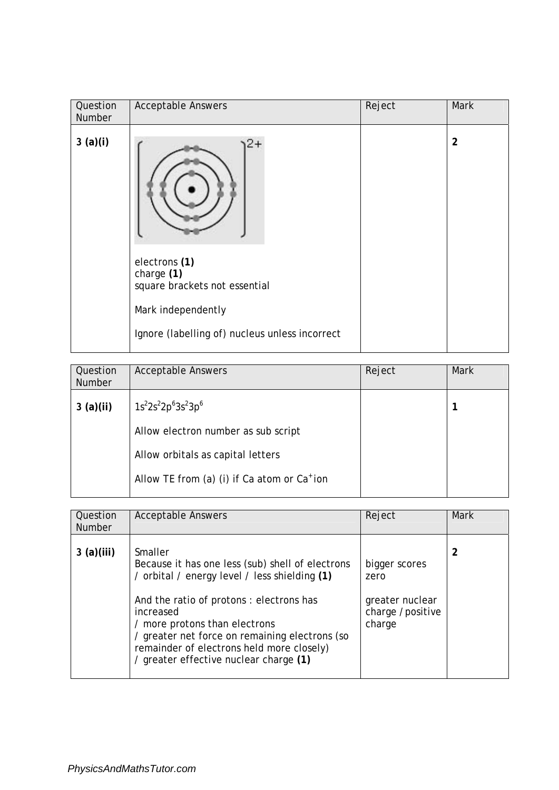| Question<br><b>Number</b> | <b>Acceptable Answers</b>                                                                                                            | Reject | Mark           |
|---------------------------|--------------------------------------------------------------------------------------------------------------------------------------|--------|----------------|
| 3(a)(i)                   | electrons (1)<br>charge (1)<br>square brackets not essential<br>Mark independently<br>Ignore (labelling of) nucleus unless incorrect |        | $\overline{2}$ |

| Question<br><b>Number</b> | <b>Acceptable Answers</b>                               | Reject | Mark |
|---------------------------|---------------------------------------------------------|--------|------|
| 3(a)(ii)                  | $1s^22s^22p^63s^23p^6$                                  |        |      |
|                           | Allow electron number as sub script                     |        |      |
|                           | Allow orbitals as capital letters                       |        |      |
|                           | Allow TE from (a) (i) if Ca atom or Ca <sup>+</sup> ion |        |      |

| Question<br><b>Number</b> | <b>Acceptable Answers</b>                                                                                                                                                                                                                                                                                                                      | Reject                                                                 | Mark |
|---------------------------|------------------------------------------------------------------------------------------------------------------------------------------------------------------------------------------------------------------------------------------------------------------------------------------------------------------------------------------------|------------------------------------------------------------------------|------|
| 3(a)(iii)                 | Smaller<br>Because it has one less (sub) shell of electrons<br>/ orbital / energy level / less shielding (1)<br>And the ratio of protons: electrons has<br>increased<br>/ more protons than electrons<br>/ greater net force on remaining electrons (so<br>remainder of electrons held more closely)<br>/ greater effective nuclear charge (1) | bigger scores<br>zero<br>greater nuclear<br>charge /positive<br>charge | 2    |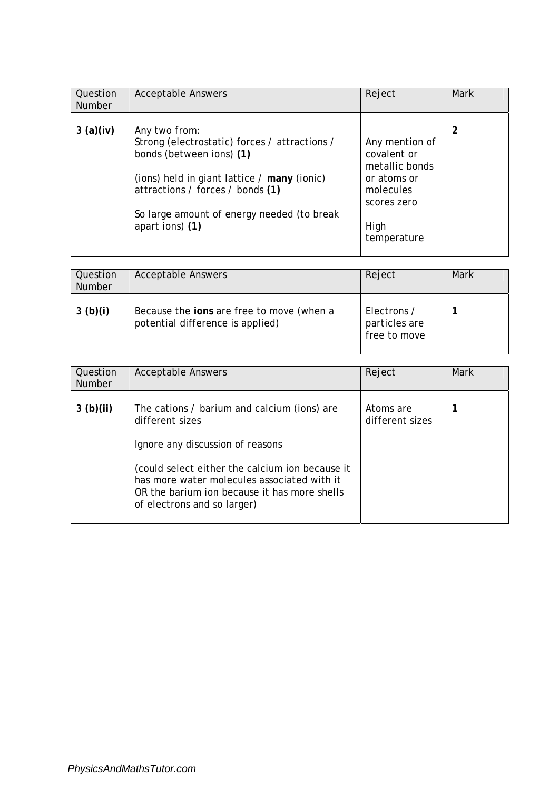| Question<br><b>Number</b> | <b>Acceptable Answers</b>                                                                                                                                                                                                                      | Reject                                                                                                            | <b>Mark</b> |
|---------------------------|------------------------------------------------------------------------------------------------------------------------------------------------------------------------------------------------------------------------------------------------|-------------------------------------------------------------------------------------------------------------------|-------------|
| 3(a)(iv)                  | Any two from:<br>Strong (electrostatic) forces / attractions /<br>bonds (between ions) (1)<br>(ions) held in giant lattice / many (ionic)<br>attractions / forces / bonds (1)<br>So large amount of energy needed (to break<br>apart ions) (1) | Any mention of<br>covalent or<br>metallic bonds<br>or atoms or<br>molecules<br>scores zero<br>High<br>temperature | 2           |

| Question<br><b>Number</b> | <b>Acceptable Answers</b>                                                     | Reject                                       | Mark |
|---------------------------|-------------------------------------------------------------------------------|----------------------------------------------|------|
| 3 (b)(i)                  | Because the ions are free to move (when a<br>potential difference is applied) | Electrons /<br>particles are<br>free to move |      |

| Question<br><b>Number</b> | <b>Acceptable Answers</b>                                                                                                                                                                                         | Reject                       | <b>Mark</b> |
|---------------------------|-------------------------------------------------------------------------------------------------------------------------------------------------------------------------------------------------------------------|------------------------------|-------------|
| 3 $(b)(ii)$               | The cations / barium and calcium (ions) are<br>different sizes                                                                                                                                                    | Atoms are<br>different sizes |             |
|                           | Ignore any discussion of reasons<br>(could select either the calcium ion because it<br>has more water molecules associated with it<br>OR the barium ion because it has more shells<br>of electrons and so larger) |                              |             |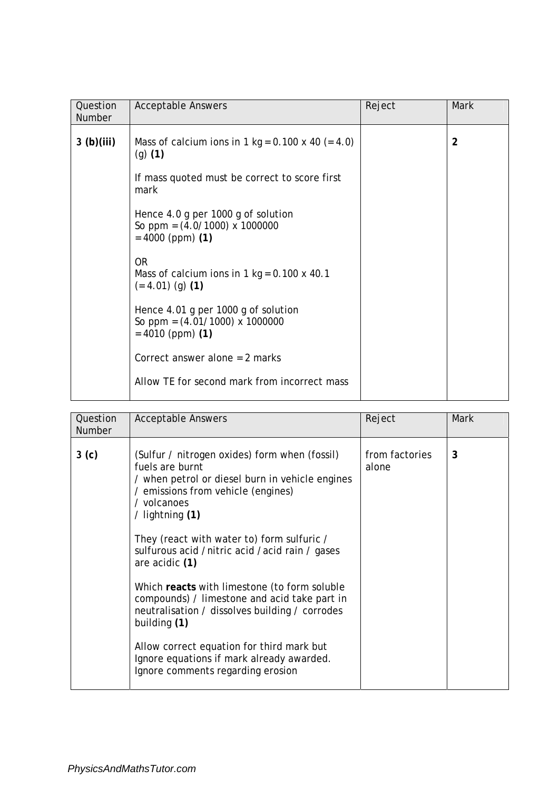| Question<br><b>Number</b> | <b>Acceptable Answers</b>                                                                     | Reject | <b>Mark</b>    |
|---------------------------|-----------------------------------------------------------------------------------------------|--------|----------------|
| 3(b)(iii)                 | Mass of calcium ions in 1 kg = $0.100 \times 40$ (= 4.0)<br>$(g)$ (1)                         |        | $\overline{2}$ |
|                           | If mass quoted must be correct to score first<br>mark                                         |        |                |
|                           | Hence 4.0 g per 1000 g of solution<br>So ppm = $(4.0/1000)$ x 1000000<br>$= 4000$ (ppm) (1)   |        |                |
|                           | 0R<br>Mass of calcium ions in 1 kg = $0.100 \times 40.1$<br>$(= 4.01)$ (g) (1)                |        |                |
|                           | Hence 4.01 g per 1000 g of solution<br>So ppm = $(4.01/1000)$ x 1000000<br>$= 4010$ (ppm) (1) |        |                |
|                           | Correct answer alone $= 2$ marks                                                              |        |                |
|                           | Allow TE for second mark from incorrect mass                                                  |        |                |

| Question<br><b>Number</b> | <b>Acceptable Answers</b>                                                                                                                                                                                                                                                                                                                                                                                                                                                                                                                                                                                        | Reject                  | Mark |
|---------------------------|------------------------------------------------------------------------------------------------------------------------------------------------------------------------------------------------------------------------------------------------------------------------------------------------------------------------------------------------------------------------------------------------------------------------------------------------------------------------------------------------------------------------------------------------------------------------------------------------------------------|-------------------------|------|
| 3 <sub>(c)</sub>          | (Sulfur / nitrogen oxides) form when (fossil)<br>fuels are burnt<br>/ when petrol or diesel burn in vehicle engines<br>/ emissions from vehicle (engines)<br>/ volcanoes<br>/ lightning $(1)$<br>They (react with water to) form sulfuric /<br>sulfurous acid /nitric acid /acid rain / gases<br>are acidic (1)<br>Which reacts with limestone (to form soluble<br>compounds) / limestone and acid take part in<br>neutralisation / dissolves building / corrodes<br>building (1)<br>Allow correct equation for third mark but<br>Ignore equations if mark already awarded.<br>Ignore comments regarding erosion | from factories<br>alone | 3    |
|                           |                                                                                                                                                                                                                                                                                                                                                                                                                                                                                                                                                                                                                  |                         |      |